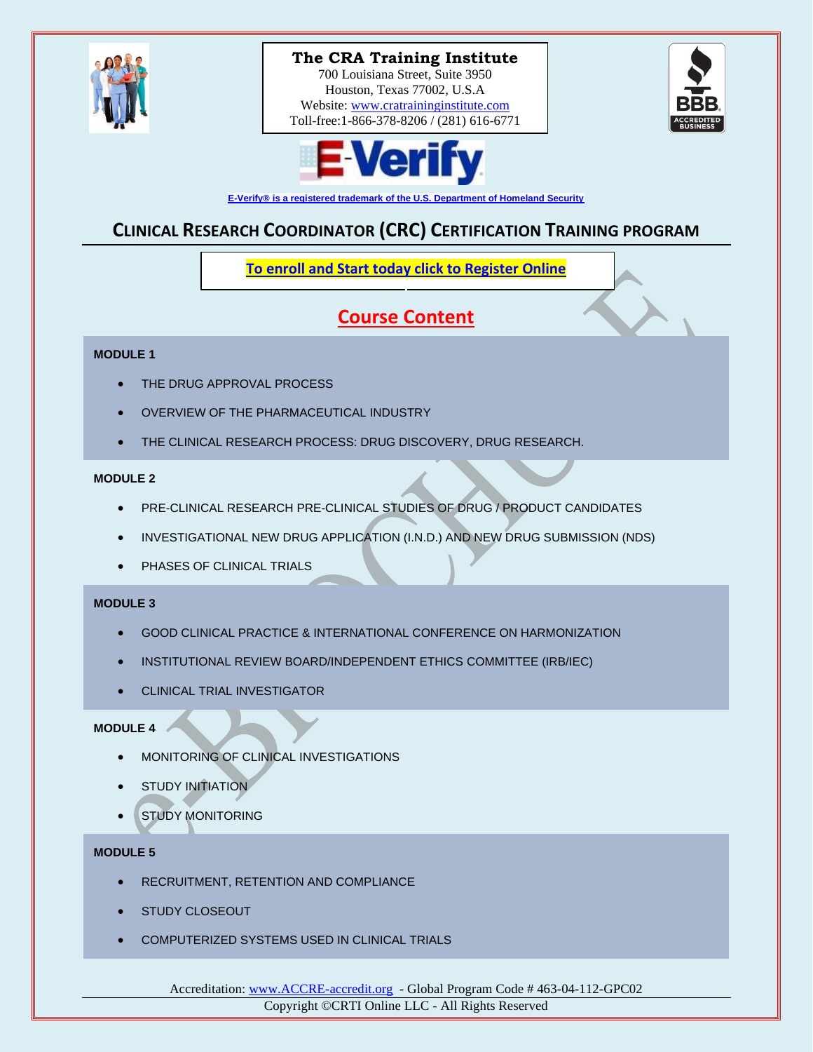

# **The CRA Training Institute The CRA Training Institute**

700 Louisiana Street, Suite 3950 Houston, Texas 77002, U.S.A Website: [www.cratraininginstitute.com](http://www.cratraininginstitute.com/) Toll-free: 1-866-378-8206 / (281) 616-6771 700 Louisiana Street, Suite 3950





**[E-Verify® is a registered trademark of the U.S. Department of Homeland Security](http://www.cratraininginstitute.org/e-verify)**

## **CLINICAL RESEARCH COORDINATOR (CRC) CERTIFICATION TRAINING PROGRAM**

**[To enroll and Start today click to Register Online](https://www.cratraininginstitute.com/course-registration)**

## **Course Content**

#### **MODULE 1**

- THE DRUG APPROVAL PROCESS
- OVERVIEW OF THE PHARMACEUTICAL INDUSTRY
- THE CLINICAL RESEARCH PROCESS: DRUG DISCOVERY, DRUG RESEARCH.

#### **MODULE 2**

- PRE-CLINICAL RESEARCH PRE-CLINICAL STUDIES OF DRUG / PRODUCT CANDIDATES
- INVESTIGATIONAL NEW DRUG APPLICATION (I.N.D.) AND NEW DRUG SUBMISSION (NDS)
- PHASES OF CLINICAL TRIALS

#### **MODULE 3**

- GOOD CLINICAL PRACTICE & INTERNATIONAL CONFERENCE ON HARMONIZATION
- INSTITUTIONAL REVIEW BOARD/INDEPENDENT ETHICS COMMITTEE (IRB/IEC)
- CLINICAL TRIAL INVESTIGATOR

#### **MODULE 4**

- MONITORING OF CLINICAL INVESTIGATIONS
- **STUDY INITIATION**
- **STUDY MONITORING**

### **MODULE 5**

- RECRUITMENT, RETENTION AND COMPLIANCE
- STUDY CLOSEOUT
- COMPUTERIZED SYSTEMS USED IN CLINICAL TRIALS

Accreditation[: www.ACCRE-accredit.org](http://www.accre-accredit.org/) - Global Program Code # 463-04-112-GPC02 Copyright ©CRTI Online LLC - All Rights Reserved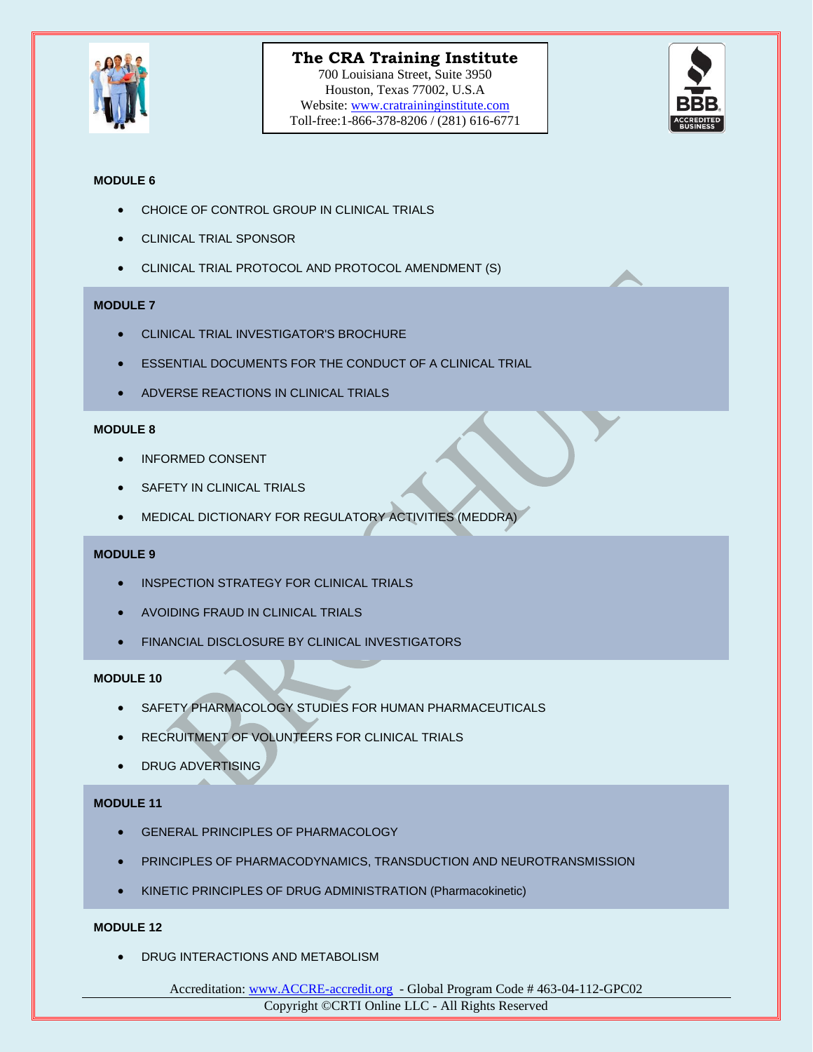

# **The CRA Training Institute The CRA Training Institute**

700 Louisiana Street, Suite 3950 Houston, Texas 77002, U.S.A Website: [www.cratraininginstitute.com](http://www.cratraininginstitute.com/) Toll-free: 1-866-378-8206 / (281) 616-6771 700 Louisiana Street, Suite 3950



#### **MODULE 6**

- CHOICE OF CONTROL GROUP IN CLINICAL TRIALS
- CLINICAL TRIAL SPONSOR
- CLINICAL TRIAL PROTOCOL AND PROTOCOL AMENDMENT (S)

#### **MODULE 7**

- CLINICAL TRIAL INVESTIGATOR'S BROCHURE
- **ESSENTIAL DOCUMENTS FOR THE CONDUCT OF A CLINICAL TRIAL**
- ADVERSE REACTIONS IN CLINICAL TRIALS

#### **MODULE 8**

- INFORMED CONSENT
- **SAFETY IN CLINICAL TRIALS**
- MEDICAL DICTIONARY FOR REGULATORY ACTIVITIES (MEDDRA)

#### **MODULE 9**

- INSPECTION STRATEGY FOR CLINICAL TRIALS
- AVOIDING FRAUD IN CLINICAL TRIALS
- **FINANCIAL DISCLOSURE BY CLINICAL INVESTIGATORS**

#### **MODULE 10**

- SAFETY PHARMACOLOGY STUDIES FOR HUMAN PHARMACEUTICALS
- RECRUITMENT OF VOLUNTEERS FOR CLINICAL TRIALS
- DRUG ADVERTISING

#### **MODULE 11**

- **GENERAL PRINCIPLES OF PHARMACOLOGY**
- PRINCIPLES OF PHARMACODYNAMICS, TRANSDUCTION AND NEUROTRANSMISSION
- KINETIC PRINCIPLES OF DRUG ADMINISTRATION (Pharmacokinetic)

#### **MODULE 12**

• DRUG INTERACTIONS AND METABOLISM

Accreditation[: www.ACCRE-accredit.org](http://www.accre-accredit.org/) - Global Program Code # 463-04-112-GPC02 Copyright ©CRTI Online LLC - All Rights Reserved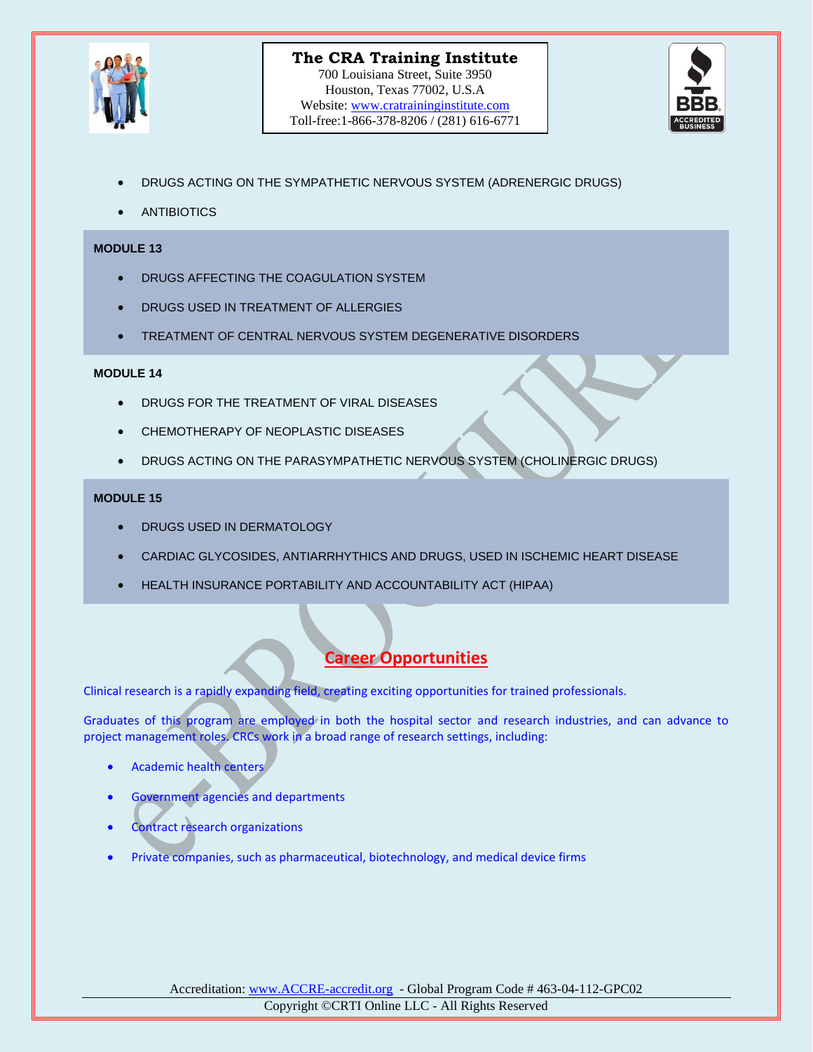



- DRUGS ACTING ON THE SYMPATHETIC NERVOUS SYSTEM (ADRENERGIC DRUGS)
- **ANTIBIOTICS**

#### **MODULE 13**

- DRUGS AFFECTING THE COAGULATION SYSTEM
- DRUGS USED IN TREATMENT OF ALLERGIES
- TREATMENT OF CENTRAL NERVOUS SYSTEM DEGENERATIVE DISORDERS

#### **MODULE 14**

- DRUGS FOR THE TREATMENT OF VIRAL DISEASES
- CHEMOTHERAPY OF NEOPLASTIC DISEASES
- DRUGS ACTING ON THE PARASYMPATHETIC NERVOUS SYSTEM (CHOLINERGIC DRUGS)

#### **MODULE 15**

- DRUGS USED IN DERMATOLOGY
- CARDIAC GLYCOSIDES, ANTIARRHYTHICS AND DRUGS, USED IN ISCHEMIC HEART DISEASE
- HEALTH INSURANCE PORTABILITY AND ACCOUNTABILITY ACT (HIPAA)

## **Career Opportunities**

Clinical research is a rapidly expanding field, creating exciting opportunities for trained professionals.

Graduates of this program are employed in both the hospital sector and research industries, and can advance to project management roles. CRCs work in a broad range of research settings, including:

- Academic health centers
- Government agencies and departments
- Contract research organizations
- Private companies, such as pharmaceutical, biotechnology, and medical device firms

Accreditation[: www.ACCRE-accredit.org](http://www.accre-accredit.org/) - Global Program Code # 463-04-112-GPC02 Copyright ©CRTI Online LLC - All Rights Reserved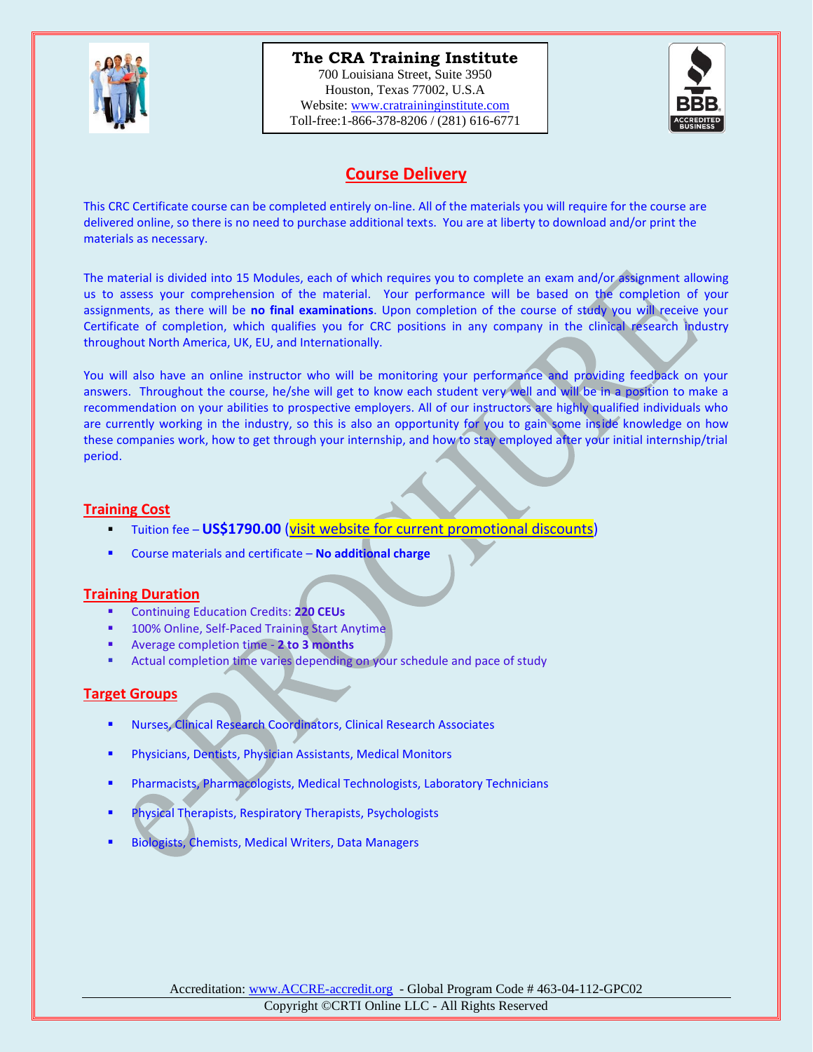

## **The CRA Training Institute The CRA Training Institute**

700 Louisiana Street, Suite 3950 Houston, Texas 77002, U.S.A Website: [www.cratraininginstitute.com](http://www.cratraininginstitute.com/) Toll-free: 1-866-378-8206 / (281) 616-6771 700 Louisiana Street, Suite 3950



## **Course Delivery**

This CRC Certificate course can be completed entirely on-line. All of the materials you will require for the course are delivered online, so there is no need to purchase additional texts. You are at liberty to download and/or print the materials as necessary.

The material is divided into 15 Modules, each of which requires you to complete an exam and/or assignment allowing us to assess your comprehension of the material. Your performance will be based on the completion of your assignments, as there will be **no final examinations**. Upon completion of the course of study you will receive your Certificate of completion, which qualifies you for CRC positions in any company in the clinical research industry throughout North America, UK, EU, and Internationally.

You will also have an online instructor who will be monitoring your performance and providing feedback on your answers. Throughout the course, he/she will get to know each student very well and will be in a position to make a recommendation on your abilities to prospective employers. All of our instructors are highly qualified individuals who are currently working in the industry, so this is also an opportunity for you to gain some inside knowledge on how these companies work, how to get through your internship, and how to stay employed after your initial internship/trial period.

#### **Training Cost**

- Tuition fee **US\$1790.00** (visit [website for current promotional discounts\)](https://www.cratraininginstitute.com/)
- Course materials and certificate **No additional charge**

### **Training Duration**

- Continuing Education Credits: **220 CEUs**
- 100% Online, Self-Paced Training Start Anytime
- Average completion time **2 to 3 months**
- Actual completion time varies depending on your schedule and pace of study

### **Target Groups**

- Nurses, Clinical Research Coordinators, Clinical Research Associates
- Physicians, Dentists, Physician Assistants, Medical Monitors
- Pharmacists, Pharmacologists, Medical Technologists, Laboratory Technicians
- Physical Therapists, Respiratory Therapists, Psychologists
- Biologists, Chemists, Medical Writers, Data Managers